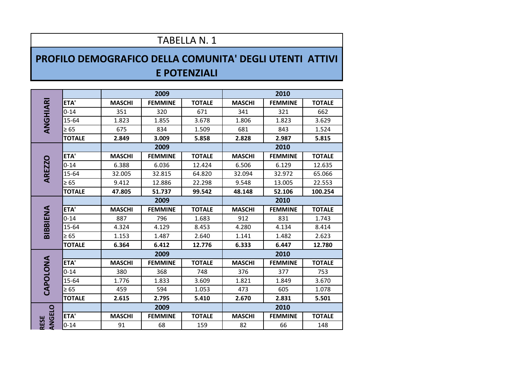## TABELLA N. 1

## **PROFILO DEMOGRAFICO DELLA COMUNITA' DEGLI UTENTI ATTIVI E POTENZIALI**

| ANGHIARI      |               |               | 2009           |               | 2010          |                |               |  |
|---------------|---------------|---------------|----------------|---------------|---------------|----------------|---------------|--|
|               | ETA'          | <b>MASCHI</b> | <b>FEMMINE</b> | <b>TOTALE</b> | <b>MASCHI</b> | <b>FEMMINE</b> | <b>TOTALE</b> |  |
|               | $0 - 14$      | 351           | 320            | 671           | 341           | 321            | 662           |  |
|               | 15-64         | 1.823         | 1.855          | 3.678         | 1.806         | 1.823          | 3.629         |  |
|               | $\geq 65$     | 675           | 834            | 1.509         | 681           | 843            | 1.524         |  |
|               | <b>TOTALE</b> | 2.849         | 3.009          | 5.858         | 2.828         | 2.987          | 5.815         |  |
|               |               | 2009          |                |               | 2010          |                |               |  |
|               | ETA'          | <b>MASCHI</b> | <b>FEMMINE</b> | <b>TOTALE</b> | <b>MASCHI</b> | <b>FEMMINE</b> | <b>TOTALE</b> |  |
| <b>AREZZO</b> | $0 - 14$      | 6.388         | 6.036          | 12.424        | 6.506         | 6.129          | 12.635        |  |
|               | 15-64         | 32.005        | 32.815         | 64.820        | 32.094        | 32.972         | 65.066        |  |
|               | $\geq 65$     | 9.412         | 12.886         | 22.298        | 9.548         | 13.005         | 22.553        |  |
|               | <b>TOTALE</b> | 47.805        | 51.737         | 99.542        | 48.148        | 52.106         | 100.254       |  |
|               |               | 2009          |                |               | 2010          |                |               |  |
|               | ETA'          | <b>MASCHI</b> | <b>FEMMINE</b> | <b>TOTALE</b> | <b>MASCHI</b> | <b>FEMMINE</b> | <b>TOTALE</b> |  |
| BIBBIENA      | $0 - 14$      | 887           | 796            | 1.683         | 912           | 831            | 1.743         |  |
|               | 15-64         | 4.324         | 4.129          | 8.453         | 4.280         | 4.134          | 8.414         |  |
|               | $\geq 65$     | 1.153         | 1.487          | 2.640         | 1.141         | 1.482          | 2.623         |  |
|               | <b>TOTALE</b> | 6.364         | 6.412          | 12.776        | 6.333         | 6.447          | 12.780        |  |
| CAPOLONA      |               | 2009          |                |               | 2010          |                |               |  |
|               | ETA'          | <b>MASCHI</b> | <b>FEMMINE</b> | <b>TOTALE</b> | <b>MASCHI</b> | <b>FEMMINE</b> | <b>TOTALE</b> |  |
|               | $0 - 14$      | 380           | 368            | 748           | 376           | 377            | 753           |  |
|               | 15-64         | 1.776         | 1.833          | 3.609         | 1.821         | 1.849          | 3.670         |  |
|               | $\geq 65$     | 459           | 594            | 1.053         | 473           | 605            | 1.078         |  |
|               | <b>TOTALE</b> | 2.615         | 2.795          | 5.410         | 2.670         | 2.831          | 5.501         |  |
|               |               | 2009          |                |               | 2010          |                |               |  |
| ANGELO        | ETA'          | <b>MASCHI</b> | <b>FEMMINE</b> | <b>TOTALE</b> | <b>MASCHI</b> | <b>FEMMINE</b> | <b>TOTALE</b> |  |
| RESE          | $0 - 14$      | 91            | 68             | 159           | 82            | 66             | 148           |  |
|               |               |               |                |               |               |                |               |  |
|               |               |               |                |               |               |                |               |  |
|               |               |               |                |               |               |                |               |  |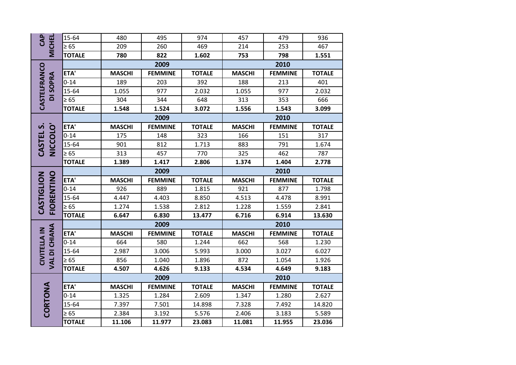| CAP<br><b>MICHEL</b>                 | 15-64         | 480           | 495            | 974           | 457           | 479            | 936           |  |
|--------------------------------------|---------------|---------------|----------------|---------------|---------------|----------------|---------------|--|
|                                      | $\geq 65$     | 209           | 260            | 469           | 214           | 253            | 467           |  |
|                                      | <b>TOTALE</b> | 780           | 822            | 1.602         | 753           | 798            | 1.551         |  |
| CASTELFRANCO<br>DI SOPRA             |               | 2009          |                |               | 2010          |                |               |  |
|                                      | ETA'          | <b>MASCHI</b> | <b>FEMMINE</b> | <b>TOTALE</b> | <b>MASCHI</b> | <b>FEMMINE</b> | <b>TOTALE</b> |  |
|                                      | $0 - 14$      | 189           | 203            | 392           | 188           | 213            | 401           |  |
|                                      | 15-64         | 1.055         | 977            | 2.032         | 1.055         | 977            | 2.032         |  |
|                                      | $\geq 65$     | 304           | 344            | 648           | 313           | 353            | 666           |  |
|                                      | <b>TOTALE</b> | 1.548         | 1.524          | 3.072         | 1.556         | 1.543          | 3.099         |  |
|                                      |               | 2009          |                |               | 2010          |                |               |  |
|                                      | ETA'          | <b>MASCHI</b> | <b>FEMMINE</b> | <b>TOTALE</b> | <b>MASCHI</b> | <b>FEMMINE</b> | <b>TOTALE</b> |  |
| NICCOLO<br>CASTEL S.                 | $0 - 14$      | 175           | 148            | 323           | 166           | 151            | 317           |  |
|                                      | 15-64         | 901           | 812            | 1.713         | 883           | 791            | 1.674         |  |
|                                      | $\geq 65$     | 313           | 457            | 770           | 325           | 462            | 787           |  |
|                                      | <b>TOTALE</b> | 1.389         | 1.417          | 2.806         | 1.374         | 1.404          | 2.778         |  |
|                                      |               | 2009          |                |               | 2010          |                |               |  |
|                                      |               |               |                |               |               |                |               |  |
|                                      | ETA'          | <b>MASCHI</b> | <b>FEMMINE</b> | <b>TOTALE</b> | <b>MASCHI</b> | <b>FEMMINE</b> | <b>TOTALE</b> |  |
|                                      | $0 - 14$      | 926           | 889            | 1.815         | 921           | 877            | 1.798         |  |
|                                      | 15-64         | 4.447         | 4.403          | 8.850         | 4.513         | 4.478          | 8.991         |  |
|                                      | $\geq 65$     | 1.274         | 1.538          | 2.812         | 1.228         | 1.559          | 2.841         |  |
| FIORENTINO<br>CASTIGLION             | <b>TOTALE</b> | 6.647         | 6.830          | 13.477        | 6.716         | 6.914          | 13.630        |  |
|                                      |               |               | 2009           |               |               | 2010           |               |  |
|                                      | ETA'          | <b>MASCHI</b> | <b>FEMMINE</b> | <b>TOTALE</b> | <b>MASCHI</b> | <b>FEMMINE</b> | <b>TOTALE</b> |  |
|                                      | $0 - 14$      | 664           | 580            | 1.244         | 662           | 568            | 1.230         |  |
|                                      | 15-64         | 2.987         | 3.006          | 5.993         | 3.000         | 3.027          | 6.027         |  |
|                                      | $\geq 65$     | 856           | 1.040          | 1.896         | 872           | 1.054          | 1.926         |  |
| VAL DI CHIANA<br><b>CIVITELLA IN</b> | <b>TOTALE</b> | 4.507         | 4.626          | 9.133         | 4.534         | 4.649          | 9.183         |  |
|                                      |               |               | 2009           |               |               | 2010           |               |  |
|                                      | ETA'          | <b>MASCHI</b> | <b>FEMMINE</b> | <b>TOTALE</b> | <b>MASCHI</b> | <b>FEMMINE</b> | <b>TOTALE</b> |  |
|                                      | $0 - 14$      | 1.325         | 1.284          | 2.609         | 1.347         | 1.280          | 2.627         |  |
|                                      | 15-64         | 7.397         | 7.501          | 14.898        | 7.328         | 7.492          | 14.820        |  |
| CORTONA                              | $\geq 65$     | 2.384         | 3.192          | 5.576         | 2.406         | 3.183          | 5.589         |  |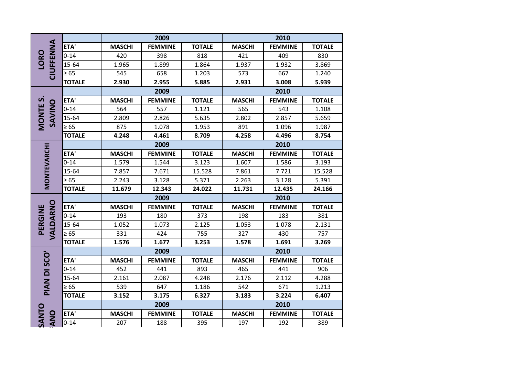| <b>CIUFFENNA</b><br><b>LORO</b> |               |               | 2009           |               | 2010          |                |               |  |
|---------------------------------|---------------|---------------|----------------|---------------|---------------|----------------|---------------|--|
|                                 | ETA'          | <b>MASCHI</b> | <b>FEMMINE</b> | <b>TOTALE</b> | <b>MASCHI</b> | <b>FEMMINE</b> | <b>TOTALE</b> |  |
|                                 | $0 - 14$      | 420           | 398            | 818           | 421           | 409            | 830           |  |
|                                 | 15-64         | 1.965         | 1.899          | 1.864         | 1.937         | 1.932          | 3.869         |  |
|                                 | $\geq 65$     | 545           | 658            | 1.203         | 573           | 667            | 1.240         |  |
|                                 | <b>TOTALE</b> | 2.930         | 2.955          | 5.885         | 2.931         | 3.008          | 5.939         |  |
|                                 |               | 2009          |                |               | 2010          |                |               |  |
|                                 | ETA'          | <b>MASCHI</b> | <b>FEMMINE</b> | <b>TOTALE</b> | <b>MASCHI</b> | <b>FEMMINE</b> | <b>TOTALE</b> |  |
| MONTE <sub>S</sub><br>SAVINO    | $0 - 14$      | 564           | 557            | 1.121         | 565           | 543            | 1.108         |  |
|                                 | 15-64         | 2.809         | 2.826          | 5.635         | 2.802         | 2.857          | 5.659         |  |
|                                 | $\geq 65$     | 875           | 1.078          | 1.953         | 891           | 1.096          | 1.987         |  |
|                                 | <b>TOTALE</b> | 4.248         | 4.461          | 8.709         | 4.258         | 4.496          | 8.754         |  |
|                                 |               |               | 2009           |               |               | 2010           |               |  |
|                                 | ETA'          | <b>MASCHI</b> | <b>FEMMINE</b> | <b>TOTALE</b> | <b>MASCHI</b> | <b>FEMMINE</b> | <b>TOTALE</b> |  |
|                                 | $0 - 14$      | 1.579         | 1.544          | 3.123         | 1.607         | 1.586          | 3.193         |  |
| MONTEVARCHI                     | 15-64         | 7.857         | 7.671          | 15.528        | 7.861         | 7.721          | 15.528        |  |
|                                 | $\geq 65$     | 2.243         | 3.128          | 5.371         | 2.263         | 3.128          | 5.391         |  |
|                                 | <b>TOTALE</b> | 11.679        | 12.343         | 24.022        | 11.731        | 12.435         | 24.166        |  |
|                                 |               | 2009          |                |               | 2010          |                |               |  |
| VALDARNO                        | ETA'          | <b>MASCHI</b> | <b>FEMMINE</b> | <b>TOTALE</b> | <b>MASCHI</b> | <b>FEMMINE</b> | <b>TOTALE</b> |  |
| PERGINE                         | $0 - 14$      | 193           | 180            | 373           | 198           | 183            | 381           |  |
|                                 | 15-64         | 1.052         | 1.073          | 2.125         | 1.053         | 1.078          | 2.131         |  |
|                                 | $\geq 65$     | 331           | 424            | 755           | 327           | 430            | 757           |  |
|                                 | <b>TOTALE</b> | 1.576         | 1.677          | 3.253         | 1.578         | 1.691          | 3.269         |  |
|                                 |               |               | 2009           |               |               | 2010           |               |  |
| PIAN DI SCO'                    | ETA'          | <b>MASCHI</b> | <b>FEMMINE</b> | <b>TOTALE</b> | <b>MASCHI</b> | <b>FEMMINE</b> | <b>TOTALE</b> |  |
|                                 | $0 - 14$      | 452           | 441            | 893           | 465           | 441            | 906           |  |
|                                 | 15-64         | 2.161         | 2.087          | 4.248         | 2.176         | 2.112          | 4.288         |  |
|                                 | $\geq 65$     | 539           | 647            | 1.186         | 542           | 671            | 1.213         |  |
|                                 | <b>TOTALE</b> | 3.152         | 3.175          | 6.327         | 3.183         | 3.224          | 6.407         |  |
|                                 |               |               | 2009           |               |               | 2010           |               |  |
| SANTO<br><b>ANO</b>             | ETA'          | <b>MASCHI</b> | <b>FEMMINE</b> | <b>TOTALE</b> | <b>MASCHI</b> | <b>FEMMINE</b> | <b>TOTALE</b> |  |
|                                 | $0 - 14$      | 207           | 188            | 395           | 197           | 192            | 389           |  |
|                                 |               |               |                |               |               |                |               |  |
|                                 |               |               |                |               |               |                |               |  |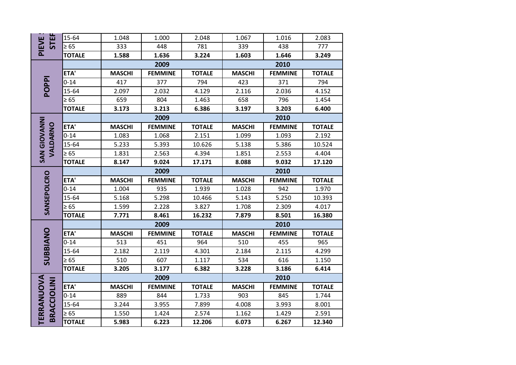| <b>STEF</b><br>PIEVE             | 15-64         | 1.048                                            | 1.000          | 2.048         | 1.067                                            | 1.016          | 2.083         |  |
|----------------------------------|---------------|--------------------------------------------------|----------------|---------------|--------------------------------------------------|----------------|---------------|--|
|                                  | $\geq 65$     | 333                                              | 448            | 781           | 339                                              | 438            | 777           |  |
|                                  | <b>TOTALE</b> | 1.588                                            | 1.636          | 3.224         | 1.603                                            | 1.646          | 3.249         |  |
|                                  |               |                                                  | 2009           |               |                                                  | 2010           |               |  |
|                                  | ETA'          | <b>MASCHI</b><br><b>FEMMINE</b><br><b>TOTALE</b> |                |               | <b>MASCHI</b><br><b>FEMMINE</b><br><b>TOTALE</b> |                |               |  |
|                                  | $0 - 14$      | 417                                              | 377            |               | 423                                              |                |               |  |
| POPPI                            |               |                                                  |                | 794           |                                                  | 371            | 794           |  |
|                                  | 15-64         | 2.097                                            | 2.032          | 4.129         | 2.116                                            | 2.036          | 4.152         |  |
|                                  | $\geq 65$     | 659                                              | 804            | 1.463         | 658                                              | 796            | 1.454         |  |
|                                  | <b>TOTALE</b> | 3.173                                            | 3.213          | 6.386         | 3.197                                            | 3.203<br>6.400 |               |  |
|                                  |               |                                                  | 2009           |               |                                                  | 2010           |               |  |
| VALDARNO                         | ETA'          | <b>MASCHI</b>                                    | <b>FEMMINE</b> | <b>TOTALE</b> | <b>MASCHI</b>                                    | <b>FEMMINE</b> | <b>TOTALE</b> |  |
|                                  | $0 - 14$      | 1.083                                            | 1.068          | 2.151         | 1.099                                            | 1.093          | 2.192         |  |
|                                  | 15-64         | 5.233                                            | 5.393          | 10.626        | 5.138                                            | 5.386          | 10.524        |  |
| <b>SAN GIOVANNI</b>              | $\geq 65$     | 1.831                                            | 2.563          | 4.394         | 1.851                                            | 2.553          | 4.404         |  |
|                                  | <b>TOTALE</b> | 8.147                                            | 9.024          | 17.171        | 8.088                                            | 9.032          | 17.120        |  |
|                                  |               | 2009                                             |                |               | 2010                                             |                |               |  |
| SANSEPOLCRO                      | ETA'          | <b>MASCHI</b>                                    | <b>FEMMINE</b> | <b>TOTALE</b> | <b>MASCHI</b>                                    | <b>FEMMINE</b> | <b>TOTALE</b> |  |
|                                  | $0 - 14$      | 1.004                                            | 935            | 1.939         | 1.028                                            | 942            | 1.970         |  |
|                                  | 15-64         | 5.168                                            | 5.298          | 10.466        | 5.143                                            | 5.250          | 10.393        |  |
|                                  | $\geq 65$     | 1.599                                            | 2.228          | 3.827         | 1.708                                            | 2.309          | 4.017         |  |
|                                  | <b>TOTALE</b> | 7.771                                            | 8.461          | 16.232        | 7.879                                            | 8.501          | 16.380        |  |
|                                  |               | 2009                                             |                |               |                                                  | 2010           |               |  |
|                                  | ETA'          | <b>MASCHI</b>                                    | <b>FEMMINE</b> | <b>TOTALE</b> | <b>MASCHI</b>                                    | <b>FEMMINE</b> | <b>TOTALE</b> |  |
|                                  | $0 - 14$      | 513                                              |                |               |                                                  |                |               |  |
|                                  |               |                                                  | 451            | 964           | 510                                              | 455            | 965           |  |
|                                  | 15-64         | 2.182                                            | 2.119          | 4.301         | 2.184                                            | 2.115          | 4.299         |  |
|                                  | $\geq 65$     | 510                                              | 607            | 1.117         | 534                                              | 616            | 1.150         |  |
| SUBBIANO                         | <b>TOTALE</b> | 3.205                                            | 3.177          | 6.382         | 3.228                                            | 3.186          | 6.414         |  |
|                                  |               |                                                  | 2009           |               |                                                  | 2010           |               |  |
|                                  | ETA'          | <b>MASCHI</b>                                    | <b>FEMMINE</b> | <b>TOTALE</b> | <b>MASCHI</b>                                    | <b>FEMMINE</b> | <b>TOTALE</b> |  |
|                                  | $0 - 14$      | 889                                              | 844            | 1.733         | 903                                              | 845            | 1.744         |  |
|                                  | 15-64         | 3.244                                            | 3.955          | 7.899         | 4.008                                            | 3.993          | 8.001         |  |
| TERRANUOVA<br><b>BRACCIOLINI</b> | $\geq 65$     | 1.550                                            | 1.424          | 2.574         | 1.162                                            | 1.429          | 2.591         |  |